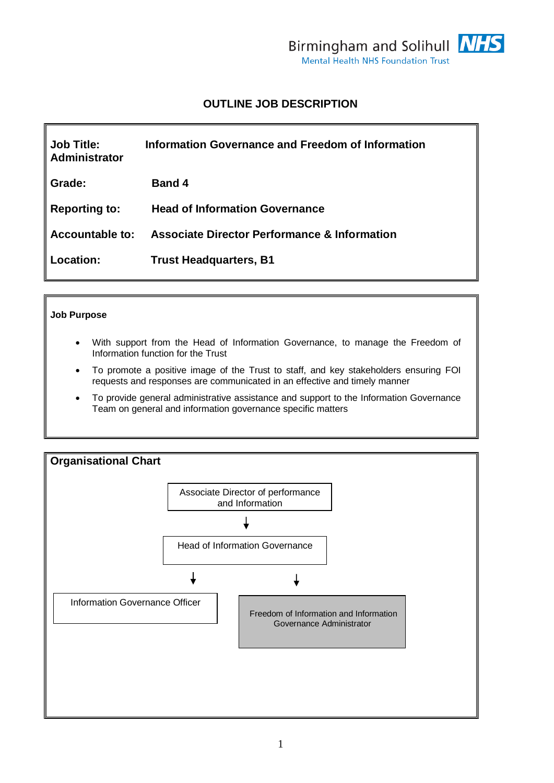

# **OUTLINE JOB DESCRIPTION**

| <b>Job Title:</b><br>Administrator | Information Governance and Freedom of Information       |
|------------------------------------|---------------------------------------------------------|
| Grade:                             | <b>Band 4</b>                                           |
| <b>Reporting to:</b>               | <b>Head of Information Governance</b>                   |
| Accountable to:                    | <b>Associate Director Performance &amp; Information</b> |
| Location:                          | <b>Trust Headquarters, B1</b>                           |

### **Job Purpose**

- With support from the Head of Information Governance, to manage the Freedom of Information function for the Trust
- To promote a positive image of the Trust to staff, and key stakeholders ensuring FOI requests and responses are communicated in an effective and timely manner
- To provide general administrative assistance and support to the Information Governance Team on general and information governance specific matters

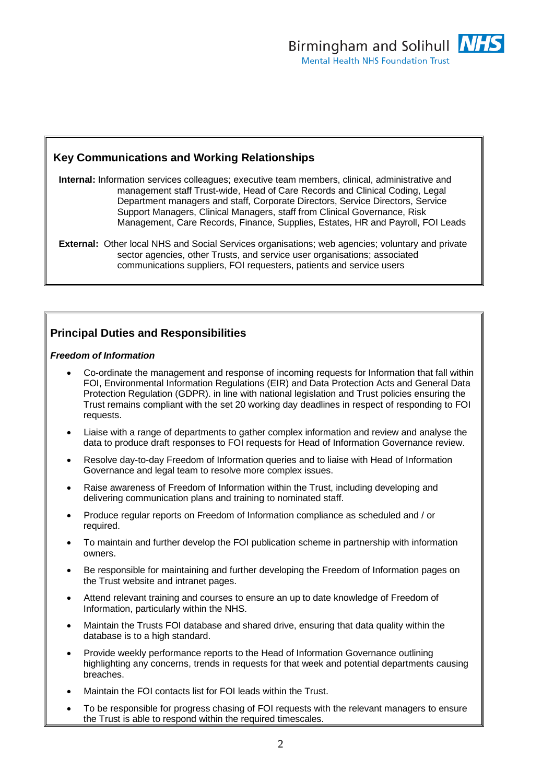## **Key Communications and Working Relationships**

**Internal:** Information services colleagues; executive team members, clinical, administrative and management staff Trust-wide, Head of Care Records and Clinical Coding, Legal Department managers and staff, Corporate Directors, Service Directors, Service Support Managers, Clinical Managers, staff from Clinical Governance, Risk Management, Care Records, Finance, Supplies, Estates, HR and Payroll, FOI Leads

**External:** Other local NHS and Social Services organisations; web agencies; voluntary and private sector agencies, other Trusts, and service user organisations; associated communications suppliers, FOI requesters, patients and service users

## **Principal Duties and Responsibilities**

### *Freedom of Information*

- Co-ordinate the management and response of incoming requests for Information that fall within FOI, Environmental Information Regulations (EIR) and Data Protection Acts and General Data Protection Regulation (GDPR). in line with national legislation and Trust policies ensuring the Trust remains compliant with the set 20 working day deadlines in respect of responding to FOI requests.
- Liaise with a range of departments to gather complex information and review and analyse the data to produce draft responses to FOI requests for Head of Information Governance review.
- Resolve day-to-day Freedom of Information queries and to liaise with Head of Information Governance and legal team to resolve more complex issues.
- Raise awareness of Freedom of Information within the Trust, including developing and delivering communication plans and training to nominated staff.
- Produce regular reports on Freedom of Information compliance as scheduled and / or required.
- To maintain and further develop the FOI publication scheme in partnership with information owners.
- Be responsible for maintaining and further developing the Freedom of Information pages on the Trust website and intranet pages.
- Attend relevant training and courses to ensure an up to date knowledge of Freedom of Information, particularly within the NHS.
- Maintain the Trusts FOI database and shared drive, ensuring that data quality within the database is to a high standard.
- Provide weekly performance reports to the Head of Information Governance outlining highlighting any concerns, trends in requests for that week and potential departments causing breaches.
- Maintain the FOI contacts list for FOI leads within the Trust.
- To be responsible for progress chasing of FOI requests with the relevant managers to ensure the Trust is able to respond within the required timescales.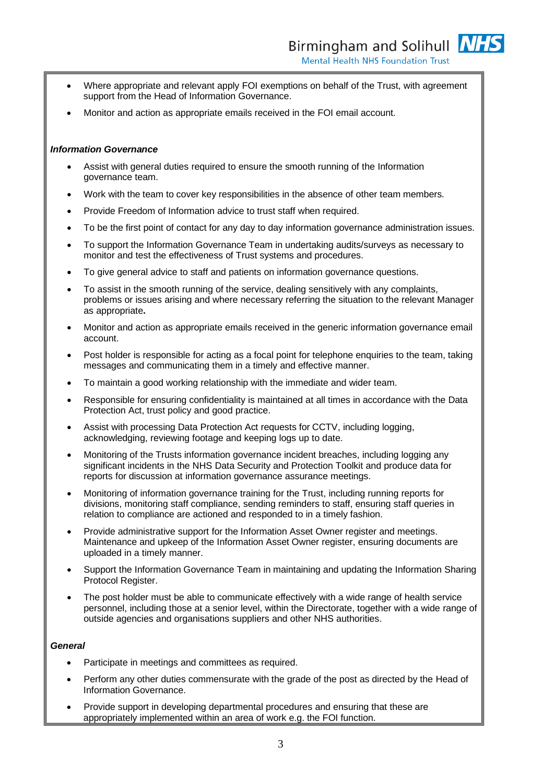- Where appropriate and relevant apply FOI exemptions on behalf of the Trust, with agreement support from the Head of Information Governance.
- Monitor and action as appropriate emails received in the FOI email account.

#### *Information Governance*

- Assist with general duties required to ensure the smooth running of the Information governance team.
- Work with the team to cover key responsibilities in the absence of other team members.
- Provide Freedom of Information advice to trust staff when required.
- To be the first point of contact for any day to day information governance administration issues.
- To support the Information Governance Team in undertaking audits/surveys as necessary to monitor and test the effectiveness of Trust systems and procedures.
- To give general advice to staff and patients on information governance questions.
- To assist in the smooth running of the service, dealing sensitively with any complaints, problems or issues arising and where necessary referring the situation to the relevant Manager as appropriate**.**
- Monitor and action as appropriate emails received in the generic information governance email account.
- Post holder is responsible for acting as a focal point for telephone enquiries to the team, taking messages and communicating them in a timely and effective manner.
- To maintain a good working relationship with the immediate and wider team.
- Responsible for ensuring confidentiality is maintained at all times in accordance with the Data Protection Act, trust policy and good practice.
- Assist with processing Data Protection Act requests for CCTV, including logging, acknowledging, reviewing footage and keeping logs up to date.
- Monitoring of the Trusts information governance incident breaches, including logging any significant incidents in the NHS Data Security and Protection Toolkit and produce data for reports for discussion at information governance assurance meetings.
- Monitoring of information governance training for the Trust, including running reports for divisions, monitoring staff compliance, sending reminders to staff, ensuring staff queries in relation to compliance are actioned and responded to in a timely fashion.
- Provide administrative support for the Information Asset Owner register and meetings. Maintenance and upkeep of the Information Asset Owner register, ensuring documents are uploaded in a timely manner.
- Support the Information Governance Team in maintaining and updating the Information Sharing Protocol Register.
- The post holder must be able to communicate effectively with a wide range of health service personnel, including those at a senior level, within the Directorate, together with a wide range of outside agencies and organisations suppliers and other NHS authorities.

#### *General*

- Participate in meetings and committees as required.
- Perform any other duties commensurate with the grade of the post as directed by the Head of Information Governance.
- Provide support in developing departmental procedures and ensuring that these are appropriately implemented within an area of work e.g. the FOI function.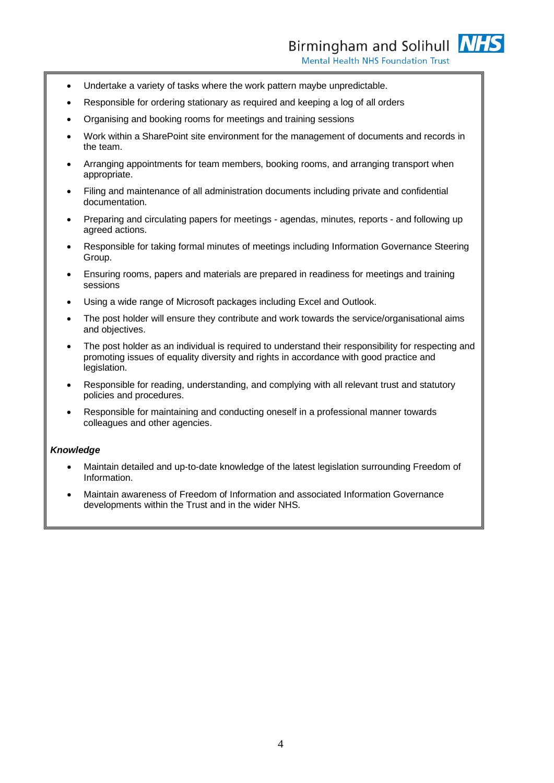- Undertake a variety of tasks where the work pattern maybe unpredictable.
- Responsible for ordering stationary as required and keeping a log of all orders
- Organising and booking rooms for meetings and training sessions
- Work within a SharePoint site environment for the management of documents and records in the team.
- Arranging appointments for team members, booking rooms, and arranging transport when appropriate.
- Filing and maintenance of all administration documents including private and confidential documentation.
- Preparing and circulating papers for meetings agendas, minutes, reports and following up agreed actions.
- Responsible for taking formal minutes of meetings including Information Governance Steering Group.
- Ensuring rooms, papers and materials are prepared in readiness for meetings and training sessions
- Using a wide range of Microsoft packages including Excel and Outlook.
- The post holder will ensure they contribute and work towards the service/organisational aims and objectives.
- The post holder as an individual is required to understand their responsibility for respecting and promoting issues of equality diversity and rights in accordance with good practice and legislation.
- Responsible for reading, understanding, and complying with all relevant trust and statutory policies and procedures.
- Responsible for maintaining and conducting oneself in a professional manner towards colleagues and other agencies.

### *Knowledge*

- Maintain detailed and up-to-date knowledge of the latest legislation surrounding Freedom of Information.
- Maintain awareness of Freedom of Information and associated Information Governance developments within the Trust and in the wider NHS.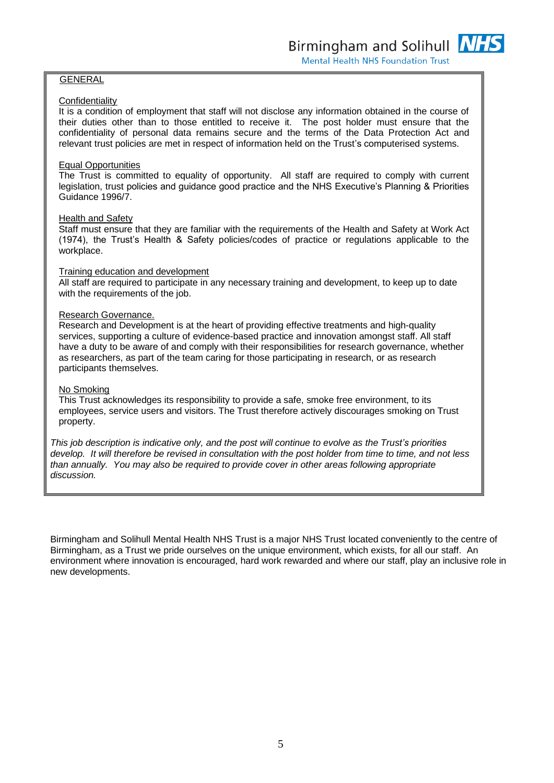### GENERAL

### **Confidentiality**

It is a condition of employment that staff will not disclose any information obtained in the course of their duties other than to those entitled to receive it. The post holder must ensure that the confidentiality of personal data remains secure and the terms of the Data Protection Act and relevant trust policies are met in respect of information held on the Trust's computerised systems.

### Equal Opportunities

The Trust is committed to equality of opportunity. All staff are required to comply with current legislation, trust policies and guidance good practice and the NHS Executive's Planning & Priorities Guidance 1996/7.

### Health and Safety

Staff must ensure that they are familiar with the requirements of the Health and Safety at Work Act (1974), the Trust's Health & Safety policies/codes of practice or regulations applicable to the workplace.

### Training education and development

All staff are required to participate in any necessary training and development, to keep up to date with the requirements of the job.

### Research Governance.

Research and Development is at the heart of providing effective treatments and high-quality services, supporting a culture of evidence-based practice and innovation amongst staff. All staff have a duty to be aware of and comply with their responsibilities for research governance, whether as researchers, as part of the team caring for those participating in research, or as research participants themselves.

### No Smoking

This Trust acknowledges its responsibility to provide a safe, smoke free environment, to its employees, service users and visitors. The Trust therefore actively discourages smoking on Trust property.

*This job description is indicative only, and the post will continue to evolve as the Trust's priorities develop. It will therefore be revised in consultation with the post holder from time to time, and not less than annually. You may also be required to provide cover in other areas following appropriate discussion.*

Birmingham and Solihull Mental Health NHS Trust is a major NHS Trust located conveniently to the centre of Birmingham, as a Trust we pride ourselves on the unique environment, which exists, for all our staff. An environment where innovation is encouraged, hard work rewarded and where our staff, play an inclusive role in new developments.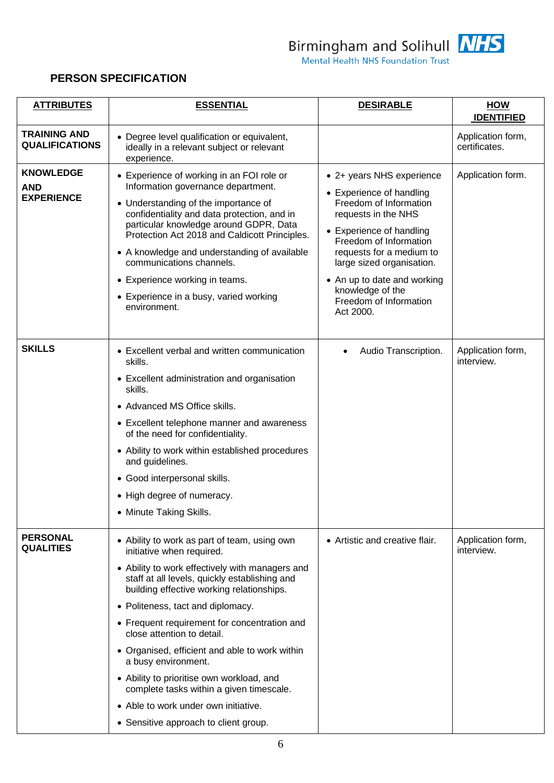

Birmingham and Solihull **NHS**<br>Mental Health NHS Foundation Trust

## **PERSON SPECIFICATION**

| <b>ATTRIBUTES</b>                                   | <b>ESSENTIAL</b>                                                                                                                                                                                                                                                                                                                                                                                                                                                                                                                                                                                 | <b>DESIRABLE</b>                                                                                                                                                                                                                                                                                                | <b>HOW</b><br><b>IDENTIFIED</b>    |
|-----------------------------------------------------|--------------------------------------------------------------------------------------------------------------------------------------------------------------------------------------------------------------------------------------------------------------------------------------------------------------------------------------------------------------------------------------------------------------------------------------------------------------------------------------------------------------------------------------------------------------------------------------------------|-----------------------------------------------------------------------------------------------------------------------------------------------------------------------------------------------------------------------------------------------------------------------------------------------------------------|------------------------------------|
| <b>TRAINING AND</b><br><b>QUALIFICATIONS</b>        | • Degree level qualification or equivalent,<br>ideally in a relevant subject or relevant<br>experience.                                                                                                                                                                                                                                                                                                                                                                                                                                                                                          |                                                                                                                                                                                                                                                                                                                 | Application form,<br>certificates. |
| <b>KNOWLEDGE</b><br><b>AND</b><br><b>EXPERIENCE</b> | • Experience of working in an FOI role or<br>Information governance department.<br>• Understanding of the importance of<br>confidentiality and data protection, and in<br>particular knowledge around GDPR, Data<br>Protection Act 2018 and Caldicott Principles.<br>• A knowledge and understanding of available<br>communications channels.<br>• Experience working in teams.<br>• Experience in a busy, varied working<br>environment.                                                                                                                                                        | • 2+ years NHS experience<br>• Experience of handling<br>Freedom of Information<br>requests in the NHS<br>• Experience of handling<br>Freedom of Information<br>requests for a medium to<br>large sized organisation.<br>• An up to date and working<br>knowledge of the<br>Freedom of Information<br>Act 2000. | Application form.                  |
| <b>SKILLS</b>                                       | • Excellent verbal and written communication<br>skills.<br>• Excellent administration and organisation<br>skills.<br>• Advanced MS Office skills.<br>• Excellent telephone manner and awareness<br>of the need for confidentiality.<br>• Ability to work within established procedures<br>and guidelines.<br>· Good interpersonal skills.<br>• High degree of numeracy.<br>• Minute Taking Skills.                                                                                                                                                                                               | Audio Transcription.                                                                                                                                                                                                                                                                                            | Application form,<br>interview.    |
| <b>PERSONAL</b><br><b>QUALITIES</b>                 | • Ability to work as part of team, using own<br>initiative when required.<br>• Ability to work effectively with managers and<br>staff at all levels, quickly establishing and<br>building effective working relationships.<br>• Politeness, tact and diplomacy.<br>• Frequent requirement for concentration and<br>close attention to detail.<br>• Organised, efficient and able to work within<br>a busy environment.<br>• Ability to prioritise own workload, and<br>complete tasks within a given timescale.<br>• Able to work under own initiative.<br>• Sensitive approach to client group. | • Artistic and creative flair.                                                                                                                                                                                                                                                                                  | Application form,<br>interview.    |